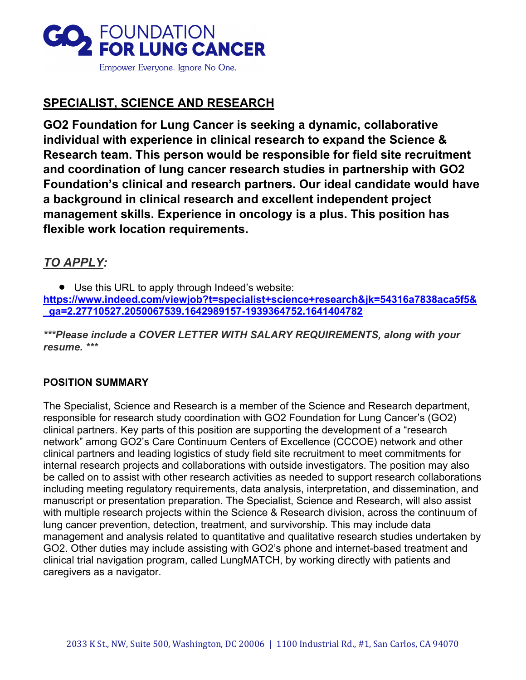

# **SPECIALIST, SCIENCE AND RESEARCH**

**GO2 Foundation for Lung Cancer is seeking a dynamic, collaborative individual with experience in clinical research to expand the Science & Research team. This person would be responsible for field site recruitment and coordination of lung cancer research studies in partnership with GO2 Foundation's clinical and research partners. Our ideal candidate would have a background in clinical research and excellent independent project management skills. Experience in oncology is a plus. This position has flexible work location requirements.**

## *TO APPLY:*

• Use this URL to apply through Indeed's website: **[https://www.indeed.com/viewjob?t=specialist+science+research&jk=54316a7838aca5f5&](https://www.indeed.com/viewjob?t=specialist+science+research&jk=54316a7838aca5f5&_ga=2.27710527.2050067539.1642989157-1939364752.1641404782) [\\_ga=2.27710527.2050067539.1642989157-1939364752.1641404782](https://www.indeed.com/viewjob?t=specialist+science+research&jk=54316a7838aca5f5&_ga=2.27710527.2050067539.1642989157-1939364752.1641404782)**

*\*\*\*Please include a COVER LETTER WITH SALARY REQUIREMENTS, along with your resume. \*\*\**

## **POSITION SUMMARY**

The Specialist, Science and Research is a member of the Science and Research department, responsible for research study coordination with GO2 Foundation for Lung Cancer's (GO2) clinical partners. Key parts of this position are supporting the development of a "research network" among GO2's Care Continuum Centers of Excellence (CCCOE) network and other clinical partners and leading logistics of study field site recruitment to meet commitments for internal research projects and collaborations with outside investigators. The position may also be called on to assist with other research activities as needed to support research collaborations including meeting regulatory requirements, data analysis, interpretation, and dissemination, and manuscript or presentation preparation. The Specialist, Science and Research, will also assist with multiple research projects within the Science & Research division, across the continuum of lung cancer prevention, detection, treatment, and survivorship. This may include data management and analysis related to quantitative and qualitative research studies undertaken by GO2. Other duties may include assisting with GO2's phone and internet-based treatment and clinical trial navigation program, called LungMATCH, by working directly with patients and caregivers as a navigator.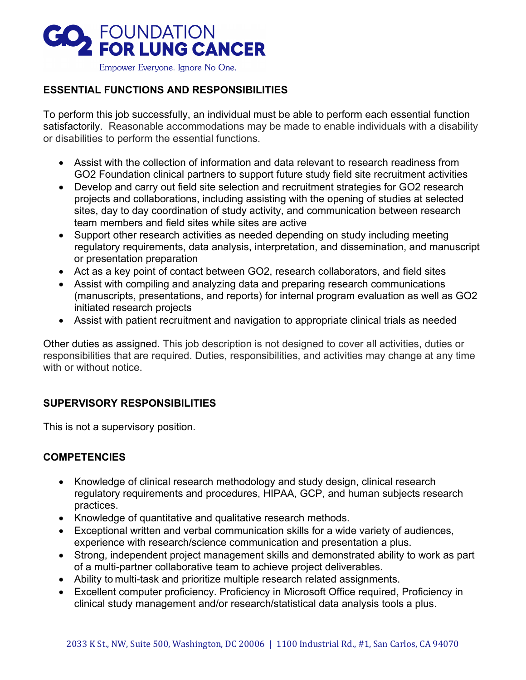

Empower Everyone. Ignore No One.

## **ESSENTIAL FUNCTIONS AND RESPONSIBILITIES**

To perform this job successfully, an individual must be able to perform each essential function satisfactorily. Reasonable accommodations may be made to enable individuals with a disability or disabilities to perform the essential functions.

- Assist with the collection of information and data relevant to research readiness from GO2 Foundation clinical partners to support future study field site recruitment activities
- Develop and carry out field site selection and recruitment strategies for GO2 research projects and collaborations, including assisting with the opening of studies at selected sites, day to day coordination of study activity, and communication between research team members and field sites while sites are active
- Support other research activities as needed depending on study including meeting regulatory requirements, data analysis, interpretation, and dissemination, and manuscript or presentation preparation
- Act as a key point of contact between GO2, research collaborators, and field sites
- Assist with compiling and analyzing data and preparing research communications (manuscripts, presentations, and reports) for internal program evaluation as well as GO2 initiated research projects
- Assist with patient recruitment and navigation to appropriate clinical trials as needed

Other duties as assigned. This job description is not designed to cover all activities, duties or responsibilities that are required. Duties, responsibilities, and activities may change at any time with or without notice

## **SUPERVISORY RESPONSIBILITIES**

This is not a supervisory position.

## **COMPETENCIES**

- Knowledge of clinical research methodology and study design, clinical research regulatory requirements and procedures, HIPAA, GCP, and human subjects research practices.
- Knowledge of quantitative and qualitative research methods.
- Exceptional written and verbal communication skills for a wide variety of audiences, experience with research/science communication and presentation a plus.
- Strong, independent project management skills and demonstrated ability to work as part of a multi-partner collaborative team to achieve project deliverables.
- Ability to multi-task and prioritize multiple research related assignments.
- Excellent computer proficiency. Proficiency in Microsoft Office required, Proficiency in clinical study management and/or research/statistical data analysis tools a plus.